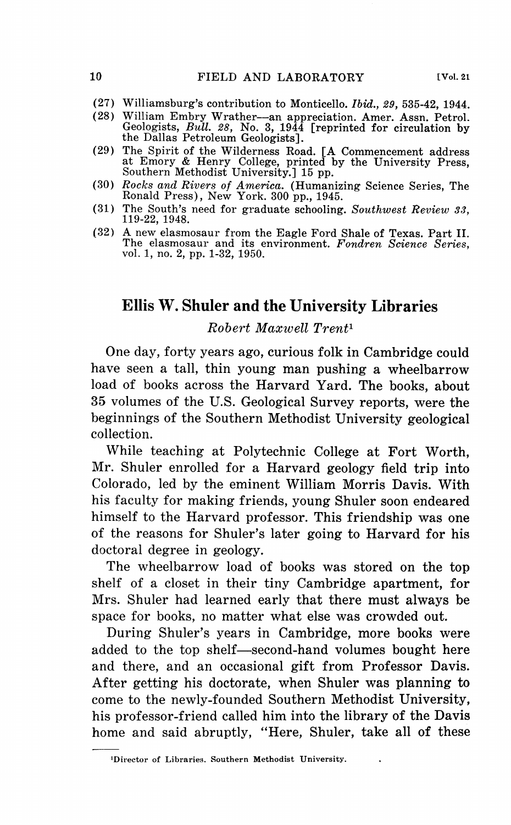- (27) Williamsburg's contribution to Monticello. *Ibid., 29,* 535-42, 1944.
- (28) William Embry Wrather-an appreciation. Amer. Assn. Petrol. Geologists, *Bull. 28,* No. 3, 1944 [reprinted for circulation by the Dallas Petroleum Geologists].
- (29) The Spirit of the Wilderness Road. [A Commencement address at Emory & Henry College, printed by the University Press,<br>Southern Methodist University.] 15 pp.
- (30) *Rocks and Rivers of America.* (Humanizing Science Series, The Ronald Press), New York. <sup>300</sup>pp., 1945.
- (31) The South's need for graduate schooling. *Southwest Review 33,* 119-22, 1948.
- (32) A new elasmosaur from the Eagle Ford Shale of Texas. Part II. The elasmosaur and its environment. *Fondren Science Series*, vol. 1, no. 2, pp. 1-32, 1950.

## **Ellis W. Shuler and the University Libraries**

*Robert Maxwell Trent <sup>1</sup>*

One day, forty years ago, curious folk in Cambridge could have seen a tall, thin young man pushing a wheelbarrow load of books across the Harvard Yard. The books, about 35 volumes of the U.S. Geological Survey reports, were the beginnings of the Southern Methodist University geological collection.

While teaching at Polytechnic College at Fort Worth, Mr. Shuler enrolled for a Harvard geology field trip into Colorado, led by the eminent William Morris Davis. With his faculty for making friends, young Shuler soon endeared himself to the Harvard professor. This friendship was one of the reasons for Shuler's later going to Harvard for his doctoral degree in geology.

The wheelbarrow load of books was stored on the top shelf of a closet in their tiny Cambridge apartment, for Mrs. Shuler had learned early that there must always be space for books, no matter what else was crowded out.

During Shuler's years in Cambridge, more books were added to the top shelf-second-hand volumes bought here and there, and an occasional gift from Professor Davis. After getting his doctorate, when Shuler was planning to come to the newly-founded Southern Methodist University, his professor-friend called him into the library of the Davis home and said abruptly, "Here, Shuler, take all of these

**<sup>1</sup>Director of Libraries. Southern Methodist University.**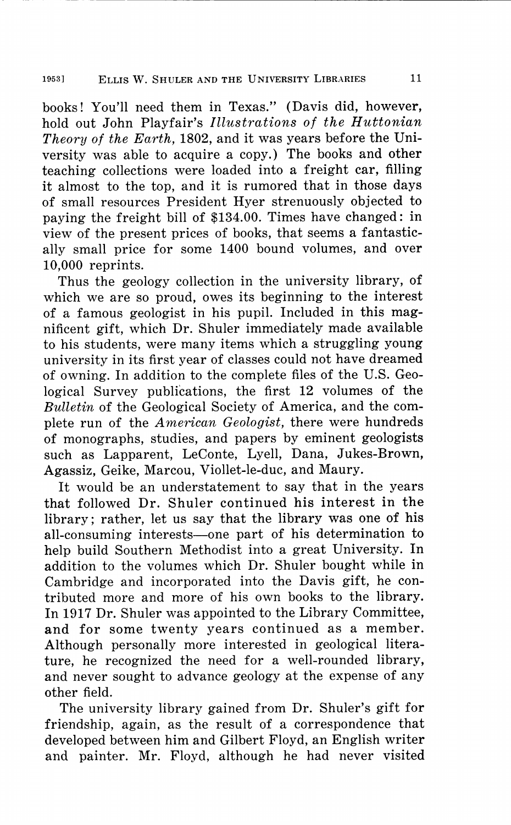## 1953] ELLIS W. SHULER AND THE UNIVERSITY LIBRARIES 11

books! You'll need them in Texas." (Davis did, however, hold out John Playfair's *Illustrations of the Huttonian Theory of the Earth,* 1802, and it was years before the University was able to acquire a copy.) The books and other teaching collections were loaded into a freight car, filling it almost to the top, and it is rumored that in those days of small resources President Hyer strenuously objected to paying the freight bill of \$134.00. Times have changed: in view of the present prices of books, that seems a fantastically small price for some 1400 bound volumes, and over 10,000 reprints.

Thus the geology collection in the university library, of which we are so proud, owes its beginning to the interest of a famous geologist in his pupil. Included in this magnificent gift, which Dr. Shuler immediately made available to his students, were many items which a struggling young university in its first year of classes could not have dreamed of owning. In addition to the complete files of the U.S. Geological Survey publications, the first 12 volumes of the *Bulletin* of the Geological Society of America, and the com<sup>p</sup>lete run of the *American Geologist,* there were hundreds of monographs, studies, and papers by eminent geologists such as Lapparent, LeConte, Lyell, Dana, Jukes-Brown, Agassiz, Geike, Marcou, Viollet-le-duc, and Maury.

It would be an understatement to say that in the years that followed Dr. Shuler continued his interest in the library; rather, let us say that the library was one of his all-consuming interests—one part of his determination to help build Southern Methodist into a great University. In addition to the volumes which Dr. Shuler bought while in Cambridge and incorporated into the Davis gift, he contributed more and more of his own books to the library. In 1917 Dr. Shuler was appointed to the Library Committee, and for some twenty years continued as a member. Although personally more interested in geological literature, he recognized the need for a well-rounded library, and never sought to advance geology at the expense of any other field.

The university library gained from Dr. Shuler's gift for friendship, again, as the result of a correspondence that developed between him and Gilbert Floyd, an English writer and painter. Mr. Floyd, although he had never visited